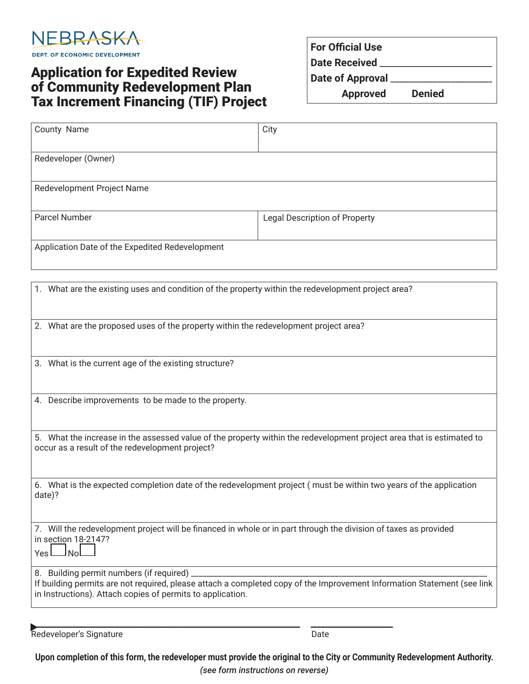

## Application for Expedited Review of Community Redevelopment Plan Tax Increment Financing (TIF) Project

| <b>For Official Use</b> |               |  |
|-------------------------|---------------|--|
| <b>Date Received</b>    |               |  |
| Date of Approval        |               |  |
| <b>Approved</b>         | <b>Denied</b> |  |

| County Name                                     | City                                 |
|-------------------------------------------------|--------------------------------------|
|                                                 |                                      |
| Redeveloper (Owner)                             |                                      |
|                                                 |                                      |
| Redevelopment Project Name                      |                                      |
|                                                 |                                      |
| Parcel Number                                   | <b>Legal Description of Property</b> |
|                                                 |                                      |
| Application Date of the Expedited Redevelopment |                                      |
|                                                 |                                      |

| 1. What are the existing uses and condition of the property within the redevelopment project area?                                                                                                                                  |
|-------------------------------------------------------------------------------------------------------------------------------------------------------------------------------------------------------------------------------------|
| 2. What are the proposed uses of the property within the redevelopment project area?                                                                                                                                                |
| 3. What is the current age of the existing structure?                                                                                                                                                                               |
| 4. Describe improvements to be made to the property.                                                                                                                                                                                |
| 5. What the increase in the assessed value of the property within the redevelopment project area that is estimated to<br>occur as a result of the redevelopment project?                                                            |
| 6. What is the expected completion date of the redevelopment project (must be within two years of the application<br>date)?                                                                                                         |
| 7. Will the redevelopment project will be financed in whole or in part through the division of taxes as provided<br>in section 18-2147?<br><u>JNo</u><br>Yes L                                                                      |
| 8. Building permit numbers (if required) _<br>If building permits are not required, please attach a completed copy of the Improvement Information Statement (see link<br>in Instructions). Attach copies of permits to application. |
| Redeveloper's Signature<br>Date                                                                                                                                                                                                     |

**Upon completion of this form, the redeveloper must provide the original to the City or Community Redevelopment Authority.**  *(see form instructions on reverse)*